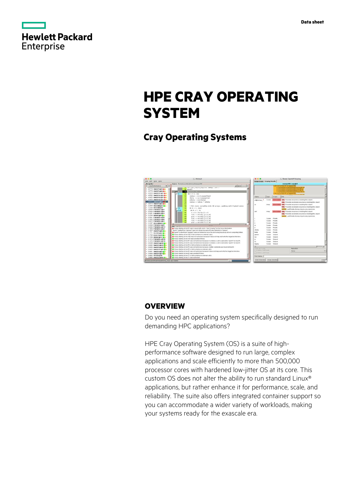|                   | <b>Hewlett Packard</b> |
|-------------------|------------------------|
| <b>Enterprise</b> |                        |

# **HPE CRAY OPERATING SYSTEM**

# **Cray Operating Systems**



## **OVERVIEW**

Do you need an operating system specifically designed to run demanding HPC applications?

HPE Cray Operating System (OS) is a suite of highperformance software designed to run large, complex applications and scale efficiently to more than 500,000 processor cores with hardened low-jitter OS at its core. This custom OS does not alter the ability to run standard Linux® applications, but rather enhance it for performance, scale, and reliability. The suite also offers integrated container support so you can accommodate a wider variety of workloads, making your systems ready for the exascale era.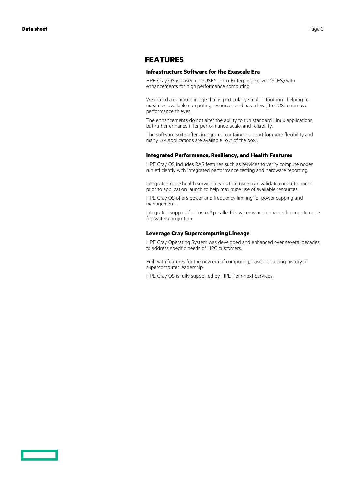### **FEATURES**

#### **Infrastructure Software for the Exascale Era**

HPE Cray OS is based on SUSE® Linux Enterprise Server (SLES) with enhancements for high performance computing.

We crated a compute image that is particularly small in footprint, helping to maximize available computing resources and has a low-jitter OS to remove performance thieves.

The enhancements do not alter the ability to run standard Linux applications, but rather enhance it for performance, scale, and reliability.

The software suite offers integrated container support for more flexibility and many ISV applications are available "out of the box".

#### **Integrated Performance, Resiliency, and Health Features**

HPE Cray OS includes RAS features such as services to verify compute nodes run efficiently with integrated performance testing and hardware reporting.

Integrated node health service means that users can validate compute nodes prior to application launch to help maximize use of available resources.

HPE Cray OS offers power and frequency limiting for power capping and management.

Integrated support for Lustre® parallel file systems and enhanced compute node file system projection.

#### **Leverage Cray Supercomputing Lineage**

HPE Cray Operating System was developed and enhanced over several decades to address specific needs of HPC customers.

Built with features for the new era of computing, based on a long history of supercomputer leadership.

HPE Cray OS is fully supported by HPE Pointnext Services.